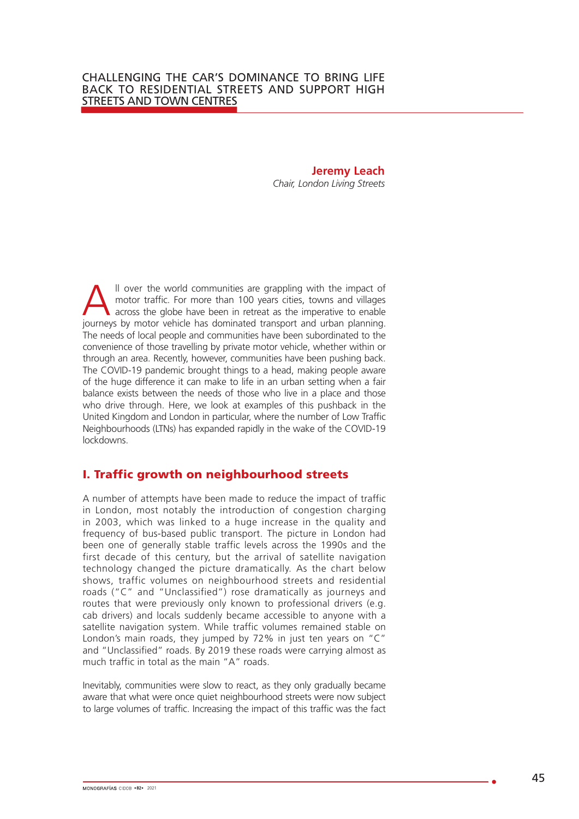# **Jeremy Leach**

*Chair, London Living Streets*

Il over the world communities are grappling with the impact of motor traffic. For more than 100 years cities, towns and villages across the globe have been in retreat as the imperative to enable journeys by motor vehicle has dominated transport and urban planning. The needs of local people and communities have been subordinated to the convenience of those travelling by private motor vehicle, whether within or through an area. Recently, however, communities have been pushing back. The COVID-19 pandemic brought things to a head, making people aware of the huge difference it can make to life in an urban setting when a fair balance exists between the needs of those who live in a place and those who drive through. Here, we look at examples of this pushback in the United Kingdom and London in particular, where the number of Low Traffic Neighbourhoods (LTNs) has expanded rapidly in the wake of the COVID-19 lockdowns.

## I. Traffic growth on neighbourhood streets

A number of attempts have been made to reduce the impact of traffic in London, most notably the introduction of congestion charging in 2003, which was linked to a huge increase in the quality and frequency of bus-based public transport. The picture in London had been one of generally stable traffic levels across the 1990s and the first decade of this century, but the arrival of satellite navigation technology changed the picture dramatically. As the chart below shows, traffic volumes on neighbourhood streets and residential roads ("C" and "Unclassified") rose dramatically as journeys and routes that were previously only known to professional drivers (e.g. cab drivers) and locals suddenly became accessible to anyone with a satellite navigation system. While traffic volumes remained stable on London's main roads, they jumped by 72% in just ten years on "C" and "Unclassified" roads. By 2019 these roads were carrying almost as much traffic in total as the main "A" roads.

Inevitably, communities were slow to react, as they only gradually became aware that what were once quiet neighbourhood streets were now subject to large volumes of traffic. Increasing the impact of this traffic was the fact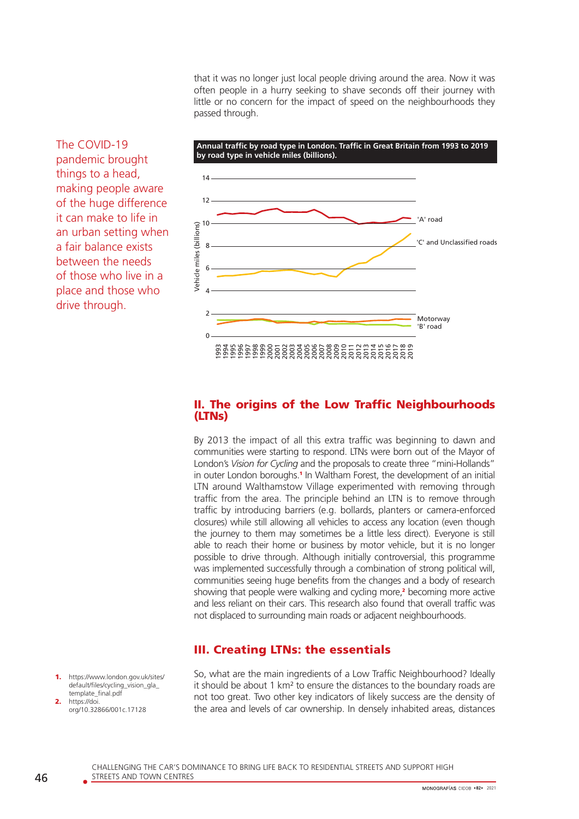that it was no longer just local people driving around the area. Now it was often people in a hurry seeking to shave seconds off their journey with little or no concern for the impact of speed on the neighbourhoods they passed through.

The COVID-19 pandemic brought things to a head, making people aware of the huge difference it can make to life in an urban setting when a fair balance exists between the needs of those who live in a place and those who drive through.



#### II. The origins of the Low Traffic Neighbourhoods (LTNs)

By 2013 the impact of all this extra traffic was beginning to dawn and communities were starting to respond. LTNs were born out of the Mayor of London's *Vision for Cycling* and the proposals to create three "mini-Hollands" in outer London boroughs.<sup>1</sup> In Waltham Forest, the development of an initial LTN around Walthamstow Village experimented with removing through traffic from the area. The principle behind an LTN is to remove through traffic by introducing barriers (e.g. bollards, planters or camera-enforced closures) while still allowing all vehicles to access any location (even though the journey to them may sometimes be a little less direct). Everyone is still able to reach their home or business by motor vehicle, but it is no longer possible to drive through. Although initially controversial, this programme was implemented successfully through a combination of strong political will, communities seeing huge benefits from the changes and a body of research showing that people were walking and cycling more,<sup>2</sup> becoming more active and less reliant on their cars. This research also found that overall traffic was not displaced to surrounding main roads or adjacent neighbourhoods.

## III. Creating LTNs: the essentials

- https://www.london.gov.uk/sites/ default/files/cycling\_vision\_gla\_ template\_final.pdf https://doi
- org/10.32866/001c.17128

So, what are the main ingredients of a Low Traffic Neighbourhood? Ideally it should be about 1 km² to ensure the distances to the boundary roads are not too great. Two other key indicators of likely success are the density of the area and levels of car ownership. In densely inhabited areas, distances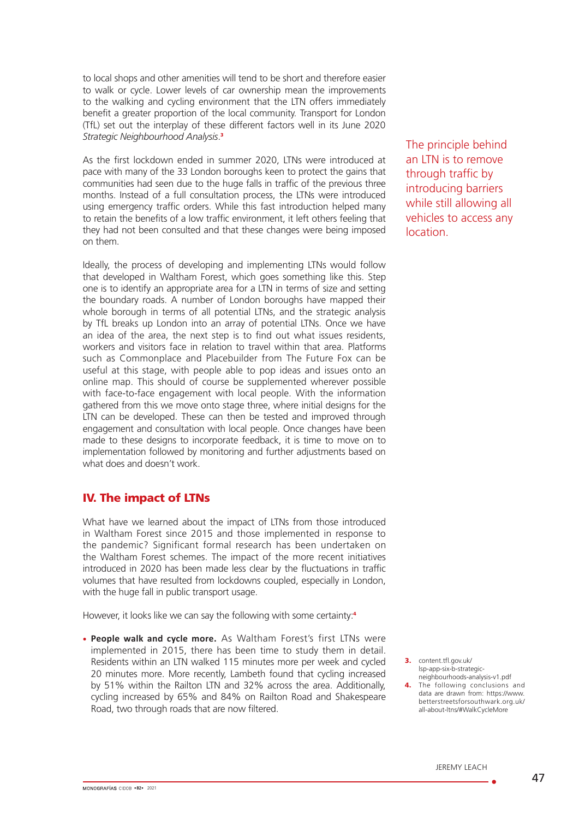to local shops and other amenities will tend to be short and therefore easier to walk or cycle. Lower levels of car ownership mean the improvements to the walking and cycling environment that the LTN offers immediately benefit a greater proportion of the local community. Transport for London (TfL) set out the interplay of these different factors well in its June 2020 *Strategic Neighbourhood Analysis*. 3

As the first lockdown ended in summer 2020, LTNs were introduced at pace with many of the 33 London boroughs keen to protect the gains that communities had seen due to the huge falls in traffic of the previous three months. Instead of a full consultation process, the LTNs were introduced using emergency traffic orders. While this fast introduction helped many to retain the benefits of a low traffic environment, it left others feeling that they had not been consulted and that these changes were being imposed on them.

Ideally, the process of developing and implementing LTNs would follow that developed in Waltham Forest, which goes something like this. Step one is to identify an appropriate area for a LTN in terms of size and setting the boundary roads. A number of London boroughs have mapped their whole borough in terms of all potential LTNs, and the strategic analysis by TfL breaks up London into an array of potential LTNs. Once we have an idea of the area, the next step is to find out what issues residents, workers and visitors face in relation to travel within that area. Platforms such as Commonplace and Placebuilder from The Future Fox can be useful at this stage, with people able to pop ideas and issues onto an online map. This should of course be supplemented wherever possible with face-to-face engagement with local people. With the information gathered from this we move onto stage three, where initial designs for the LTN can be developed. These can then be tested and improved through engagement and consultation with local people. Once changes have been made to these designs to incorporate feedback, it is time to move on to implementation followed by monitoring and further adjustments based on what does and doesn't work.

### IV. The impact of LTNs

What have we learned about the impact of LTNs from those introduced in Waltham Forest since 2015 and those implemented in response to the pandemic? Significant formal research has been undertaken on the Waltham Forest schemes. The impact of the more recent initiatives introduced in 2020 has been made less clear by the fluctuations in traffic volumes that have resulted from lockdowns coupled, especially in London, with the huge fall in public transport usage.

However, it looks like we can say the following with some certainty:<sup>4</sup>

**• People walk and cycle more.** As Waltham Forest's first LTNs were implemented in 2015, there has been time to study them in detail. Residents within an LTN walked 115 minutes more per week and cycled 20 minutes more. More recently, Lambeth found that cycling increased by 51% within the Railton LTN and 32% across the area. Additionally, cycling increased by 65% and 84% on Railton Road and Shakespeare Road, two through roads that are now filtered.

The principle behind an LTN is to remove through traffic by introducing barriers while still allowing all vehicles to access any location.

3. content.tfl.gov.uk/ lsp-app-six-b-strategicneighbourhoods-analysis-v1.pdf

4. The following conclusions and data are drawn from: https://www. betterstreetsforsouthwark.org.uk/ all-about-ltns/#WalkCycleMore